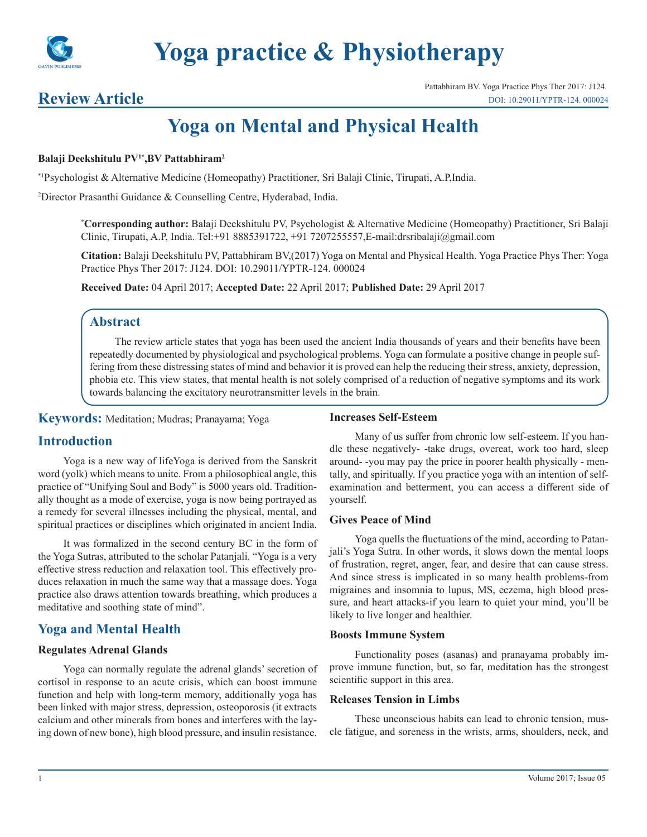

# **Review Article**

# **Yoga on Mental and Physical Health**

#### **Balaji Deekshitulu PV1\*,BV Pattabhiram2**

\*1Psychologist & Alternative Medicine (Homeopathy) Practitioner, Sri Balaji Clinic, Tirupati, A.P,India.

2 Director Prasanthi Guidance & Counselling Centre, Hyderabad, India.

**\* Corresponding author:** Balaji Deekshitulu PV, Psychologist & Alternative Medicine (Homeopathy) Practitioner, Sri Balaji Clinic, Tirupati, A.P, India. Tel:+91 8885391722, +91 7207255557, E-mail:drsribalaji@gmail.com

**Citation:** Balaji Deekshitulu PV, Pattabhiram BV,(2017) Yoga on Mental and Physical Health. Yoga Practice Phys Ther: Yoga Practice Phys Ther 2017: J124. DOI: 10.29011/YPTR-124. 000024

**Received Date:** 04 April 2017; **Accepted Date:** 22 April 2017; **Published Date:** 29 April 2017

# **Abstract**

The review article states that yoga has been used the ancient India thousands of years and their benefits have been repeatedly documented by physiological and psychological problems. Yoga can formulate a positive change in people suffering from these distressing states of mind and behavior it is proved can help the reducing their stress, anxiety, depression, phobia etc. This view states, that mental health is not solely comprised of a reduction of negative symptoms and its work towards balancing the excitatory neurotransmitter levels in the brain.

**Keywords:** Meditation; Mudras; Pranayama; Yoga

## **Introduction**

Yoga is a new way of lifeYoga is derived from the Sanskrit word (yolk) which means to unite. From a philosophical angle, this practice of "Unifying Soul and Body" is 5000 years old. Traditionally thought as a mode of exercise, yoga is now being portrayed as a remedy for several illnesses including the physical, mental, and spiritual practices or disciplines which originated in ancient India.

It was formalized in the second century BC in the form of the Yoga Sutras, attributed to the scholar Patanjali. "Yoga is a very effective stress reduction and relaxation tool. This effectively produces relaxation in much the same way that a massage does. Yoga practice also draws attention towards breathing, which produces a meditative and soothing state of mind".

# **Yoga and Mental Health**

#### **Regulates Adrenal Glands**

Yoga can normally regulate the adrenal glands' secretion of cortisol in response to an acute crisis, which can boost immune function and help with long-term memory, additionally yoga has been linked with major stress, depression, osteoporosis (it extracts calcium and other minerals from bones and interferes with the laying down of new bone), high blood pressure, and insulin resistance.

#### **Increases Self-Esteem**

Many of us suffer from chronic low self-esteem. If you handle these negatively- -take drugs, overeat, work too hard, sleep around- -you may pay the price in poorer health physically - mentally, and spiritually. If you practice yoga with an intention of selfexamination and betterment, you can access a different side of yourself.

#### **Gives Peace of Mind**

Yoga quells the fluctuations of the mind, according to Patanjali's Yoga Sutra. In other words, it slows down the mental loops of frustration, regret, anger, fear, and desire that can cause stress. And since stress is implicated in so many health problems-from migraines and insomnia to lupus, MS, eczema, high blood pressure, and heart attacks-if you learn to quiet your mind, you'll be likely to live longer and healthier.

#### **Boosts Immune System**

Functionality poses (asanas) and pranayama probably improve immune function, but, so far, meditation has the strongest scientific support in this area.

#### **Releases Tension in Limbs**

These unconscious habits can lead to chronic tension, muscle fatigue, and soreness in the wrists, arms, shoulders, neck, and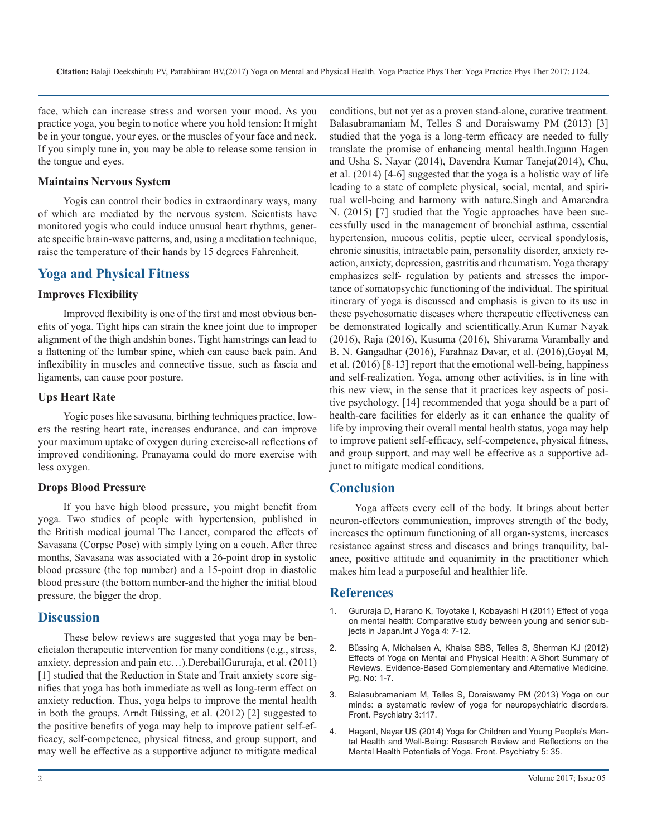face, which can increase stress and worsen your mood. As you practice yoga, you begin to notice where you hold tension: It might be in your tongue, your eyes, or the muscles of your face and neck. If you simply tune in, you may be able to release some tension in the tongue and eyes.

#### **Maintains Nervous System**

Yogis can control their bodies in extraordinary ways, many of which are mediated by the nervous system. Scientists have monitored yogis who could induce unusual heart rhythms, generate specific brain-wave patterns, and, using a meditation technique, raise the temperature of their hands by 15 degrees Fahrenheit.

# **Yoga and Physical Fitness**

#### **Improves Flexibility**

Improved flexibility is one of the first and most obvious benefits of yoga. Tight hips can strain the knee joint due to improper alignment of the thigh andshin bones. Tight hamstrings can lead to a flattening of the lumbar spine, which can cause back pain. And inflexibility in muscles and connective tissue, such as fascia and ligaments, can cause poor posture.

#### **Ups Heart Rate**

Yogic poses like savasana, birthing techniques practice, lowers the resting heart rate, increases endurance, and can improve your maximum uptake of oxygen during exercise-all reflections of improved conditioning. Pranayama could do more exercise with less oxygen.

#### **Drops Blood Pressure**

If you have high blood pressure, you might benefit from yoga. Two studies of people with hypertension, published in the British medical journal The Lancet, compared the effects of Savasana (Corpse Pose) with simply lying on a couch. After three months, Savasana was associated with a 26-point drop in systolic blood pressure (the top number) and a 15-point drop in diastolic blood pressure (the bottom number-and the higher the initial blood pressure, the bigger the drop.

#### **Discussion**

These below reviews are suggested that yoga may be beneficialon therapeutic intervention for many conditions (e.g., stress, anxiety, depression and pain etc…).DerebailGururaja, et al. (2011) [1] studied that the Reduction in State and Trait anxiety score signifies that yoga has both immediate as well as long-term effect on anxiety reduction. Thus, yoga helps to improve the mental health in both the groups. Arndt Büssing, et al. (2012) [2] suggested to the positive benefits of yoga may help to improve patient self-efficacy, self-competence, physical fitness, and group support, and may well be effective as a supportive adjunct to mitigate medical

conditions, but not yet as a proven stand-alone, curative treatment. Balasubramaniam M, Telles S and Doraiswamy PM (2013) [3] studied that the yoga is a long-term efficacy are needed to fully translate the promise of enhancing mental health.Ingunn Hagen and Usha S. Nayar (2014), Davendra Kumar Taneja(2014), Chu, et al. (2014) [4-6] suggested that the yoga is a holistic way of life leading to a state of complete physical, social, mental, and spiritual well-being and harmony with nature.Singh and Amarendra N. (2015) [7] studied that the Yogic approaches have been successfully used in the management of bronchial asthma, essential hypertension, mucous colitis, peptic ulcer, cervical spondylosis, chronic sinusitis, intractable pain, personality disorder, anxiety reaction, anxiety, depression, gastritis and rheumatism. Yoga therapy emphasizes self- regulation by patients and stresses the importance of somatopsychic functioning of the individual. The spiritual itinerary of yoga is discussed and emphasis is given to its use in these psychosomatic diseases where therapeutic effectiveness can be demonstrated logically and scientifically.Arun Kumar Nayak (2016), Raja (2016), Kusuma (2016), Shivarama Varambally and B. N. Gangadhar (2016), Farahnaz Davar, et al. (2016),Goyal M, et al. (2016) [8-13] report that the emotional well-being, happiness and self-realization. Yoga, among other activities, is in line with this new view, in the sense that it practices key aspects of positive psychology, [14] recommended that yoga should be a part of health-care facilities for elderly as it can enhance the quality of life by improving their overall mental health status, yoga may help to improve patient self-efficacy, self-competence, physical fitness, and group support, and may well be effective as a supportive adjunct to mitigate medical conditions.

## **Conclusion**

Yoga affects every cell of the body. It brings about better neuron-effectors communication, improves strength of the body, increases the optimum functioning of all organ-systems, increases resistance against stress and diseases and brings tranquility, balance, positive attitude and equanimity in the practitioner which makes him lead a purposeful and healthier life.

#### **References**

- 1. [Gururaja D, Harano K, Toyotake I, Kobayashi H \(2011\) Effect of yoga](https://www.ncbi.nlm.nih.gov/pmc/articles/PMC3099103/)  on mental health: Comparative study between young and senior sub[jects in Japan.Int J Yoga 4: 7-12.](https://www.ncbi.nlm.nih.gov/pmc/articles/PMC3099103/)
- 2. [Büssing A, Michalsen A, Khalsa SBS, Telles S, Sherman KJ \(2012\)](https://www.hindawi.com/journals/ecam/2012/165410/)  Effects of Yoga on Mental and Physical Health: A Short Summary of [Reviews. Evidence-Based Complementary and Alternative Medicine.](https://www.hindawi.com/journals/ecam/2012/165410/)  [Pg. No: 1-7.](https://www.hindawi.com/journals/ecam/2012/165410/)
- 3. [Balasubramaniam M, Telles S, Doraiswamy PM \(2013\) Yoga on our](https://www.ncbi.nlm.nih.gov/pubmed/23355825) minds: a systematic review of yoga for neuropsychiatric disorders. [Front. Psychiatry 3:117.](https://www.ncbi.nlm.nih.gov/pubmed/23355825)
- 4. [HagenI, Nayar US \(2014\) Yoga for Children and Young People's Men](https://www.ncbi.nlm.nih.gov/pmc/articles/PMC3980104/)tal Health and Well-Being: Research Review and Reflections on the [Mental Health Potentials of Yoga. Front. Psychiatry 5: 35.](https://www.ncbi.nlm.nih.gov/pmc/articles/PMC3980104/)